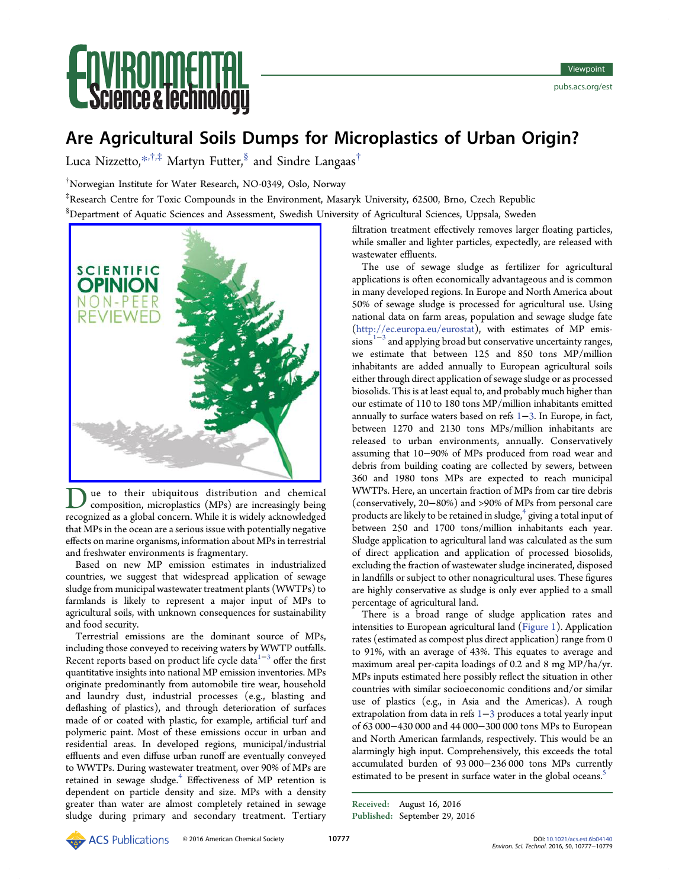# **Ce & lechnolo**

## Are Agricultural Soils Dumps for Microplastics of Urban Origin?

Luca Nizzetto, $*$ , $\dagger$ , $*$  Martyn Futter, ${}^{\$}$  and Sindre Langaas<sup>†</sup>

† Norwegian Institute for Water Research, NO-0349, Oslo, Norway

‡ Research Centre for Toxic Compounds in the Environment, Masaryk University, 62500, Brno, Czech Republic

 $^{\$}$ Department of Aquatic Sciences and Assessment, Swedish University of Agricultural Sciences, Uppsala, Sweden



ue to their ubiquitous distribution and chemical composition, microplastics (MPs) are increasingly being recognized as a global concern. While it is widely acknowledged that MPs in the ocean are a serious issue with potentially negative effects on marine organisms, information about MPs in terrestrial and freshwater environments is fragmentary.

Based on new MP emission estimates in industrialized countries, we suggest that widespread application of sewage sludge from municipal wastewater treatment plants (WWTPs) to farmlands is likely to represent a major input of MPs to agricultural soils, with unknown consequences for sustainability and food security.

Terrestrial emissions are the dominant source of MPs, including those conveyed to receiving waters by WWTP outfalls. Recent reports based on product life cycle data<sup>[1](#page-1-0)-[3](#page-1-0)</sup> offer the first quantitative insights into national MP emission inventories. MPs originate predominantly from automobile tire wear, household and laundry dust, industrial processes (e.g., blasting and deflashing of plastics), and through deterioration of surfaces made of or coated with plastic, for example, artificial turf and polymeric paint. Most of these emissions occur in urban and residential areas. In developed regions, municipal/industrial effluents and even diffuse urban runoff are eventually conveyed to WWTPs. During wastewater treatment, over 90% of MPs are retained in sewage sludge.<sup>[4](#page-1-0)</sup> Effectiveness of MP retention is dependent on particle density and size. MPs with a density greater than water are almost completely retained in sewage sludge during primary and secondary treatment. Tertiary filtration treatment effectively removes larger floating particles, while smaller and lighter particles, expectedly, are released with wastewater effluents.

The use of sewage sludge as fertilizer for agricultural applications is often economically advantageous and is common in many developed regions. In Europe and North America about 50% of sewage sludge is processed for agricultural use. Using national data on farm areas, population and sewage sludge fate [\(http://ec.europa.eu/eurostat](http://ec.europa.eu/eurostat)), with estimates of MP emissions<sup> $1-3$  $1-3$  $1-3$ </sup> and applying broad but conservative uncertainty ranges, we estimate that between 125 and 850 tons MP/million inhabitants are added annually to European agricultural soils either through direct application of sewage sludge or as processed biosolids. This is at least equal to, and probably much higher than our estimate of 110 to 180 tons MP/million inhabitants emitted annually to surface waters based on refs [1](#page-1-0)−[3](#page-1-0). In Europe, in fact, between 1270 and 2130 tons MPs/million inhabitants are released to urban environments, annually. Conservatively assuming that 10−90% of MPs produced from road wear and debris from building coating are collected by sewers, between 360 and 1980 tons MPs are expected to reach municipal WWTPs. Here, an uncertain fraction of MPs from car tire debris (conservatively, 20−80%) and >90% of MPs from personal care products are likely to be retained in sludge, $4$  giving a total input of between 250 and 1700 tons/million inhabitants each year. Sludge application to agricultural land was calculated as the sum of direct application and application of processed biosolids, excluding the fraction of wastewater sludge incinerated, disposed in landfills or subject to other nonagricultural uses. These figures are highly conservative as sludge is only ever applied to a small percentage of agricultural land.

There is a broad range of sludge application rates and intensities to European agricultural land [\(Figure 1\)](#page-1-0). Application rates (estimated as compost plus direct application) range from 0 to 91%, with an average of 43%. This equates to average and maximum areal per-capita loadings of 0.2 and 8 mg MP/ha/yr. MPs inputs estimated here possibly reflect the situation in other countries with similar socioeconomic conditions and/or similar use of plastics (e.g., in Asia and the Americas). A rough extrapolation from data in refs [1](#page-1-0)−[3](#page-1-0) produces a total yearly input of 63 000−430 000 and 44 000−300 000 tons MPs to European and North American farmlands, respectively. This would be an alarmingly high input. Comprehensively, this exceeds the total accumulated burden of 93 000−236 000 tons MPs currently estimated to be present in surface water in the global oceans.<sup>[5](#page-1-0)</sup>

Received: August 16, 2016 Published: September 29, 2016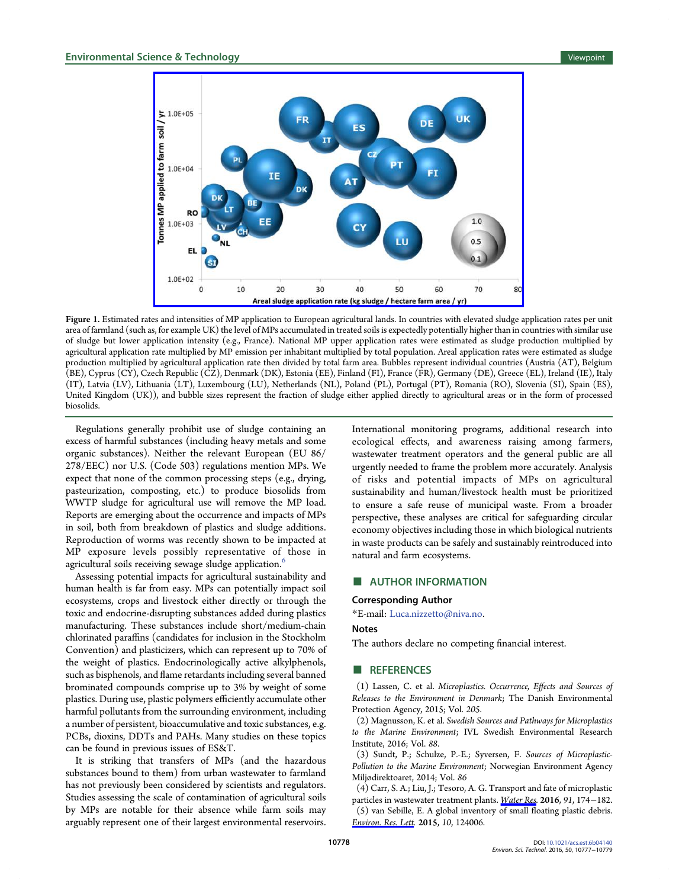<span id="page-1-0"></span>

Figure 1. Estimated rates and intensities of MP application to European agricultural lands. In countries with elevated sludge application rates per unit area of farmland (such as, for example UK) the level of MPs accumulated in treated soils is expectedly potentially higher than in countries with similar use of sludge but lower application intensity (e.g., France). National MP upper application rates were estimated as sludge production multiplied by agricultural application rate multiplied by MP emission per inhabitant multiplied by total population. Areal application rates were estimated as sludge production multiplied by agricultural application rate then divided by total farm area. Bubbles represent individual countries (Austria (AT), Belgium (BE), Cyprus (CY), Czech Republic (CZ), Denmark (DK), Estonia (EE), Finland (FI), France (FR), Germany (DE), Greece (EL), Ireland (IE), Italy (IT), Latvia (LV), Lithuania (LT), Luxembourg (LU), Netherlands (NL), Poland (PL), Portugal (PT), Romania (RO), Slovenia (SI), Spain (ES), United Kingdom (UK)), and bubble sizes represent the fraction of sludge either applied directly to agricultural areas or in the form of processed biosolids.

Regulations generally prohibit use of sludge containing an excess of harmful substances (including heavy metals and some organic substances). Neither the relevant European (EU 86/ 278/EEC) nor U.S. (Code 503) regulations mention MPs. We expect that none of the common processing steps (e.g., drying, pasteurization, composting, etc.) to produce biosolids from WWTP sludge for agricultural use will remove the MP load. Reports are emerging about the occurrence and impacts of MPs in soil, both from breakdown of plastics and sludge additions. Reproduction of worms was recently shown to be impacted at MP exposure levels possibly representative of those in agricultural soils receiving sewage sludge application.<sup>[6](#page-2-0)</sup>

Assessing potential impacts for agricultural sustainability and human health is far from easy. MPs can potentially impact soil ecosystems, crops and livestock either directly or through the toxic and endocrine-disrupting substances added during plastics manufacturing. These substances include short/medium-chain chlorinated paraffins (candidates for inclusion in the Stockholm Convention) and plasticizers, which can represent up to 70% of the weight of plastics. Endocrinologically active alkylphenols, such as bisphenols, and flame retardants including several banned brominated compounds comprise up to 3% by weight of some plastics. During use, plastic polymers efficiently accumulate other harmful pollutants from the surrounding environment, including a number of persistent, bioaccumulative and toxic substances, e.g. PCBs, dioxins, DDTs and PAHs. Many studies on these topics can be found in previous issues of ES&T.

It is striking that transfers of MPs (and the hazardous substances bound to them) from urban wastewater to farmland has not previously been considered by scientists and regulators. Studies assessing the scale of contamination of agricultural soils by MPs are notable for their absence while farm soils may arguably represent one of their largest environmental reservoirs.

International monitoring programs, additional research into ecological effects, and awareness raising among farmers, wastewater treatment operators and the general public are all urgently needed to frame the problem more accurately. Analysis of risks and potential impacts of MPs on agricultural sustainability and human/livestock health must be prioritized to ensure a safe reuse of municipal waste. From a broader perspective, these analyses are critical for safeguarding circular economy objectives including those in which biological nutrients in waste products can be safely and sustainably reintroduced into natural and farm ecosystems.

#### ■ AUTHOR INFORMATION

#### Corresponding Author

\*E-mail: [Luca.nizzetto@niva.no.](mailto:Luca.nizzetto@niva.no)

#### Notes

The authors declare no competing financial interest.

#### **ENDERGERIENCES**

(1) Lassen, C. et al. Microplastics. Occurrence, Effects and Sources of Releases to the Environment in Denmark; The Danish Environmental Protection Agency, 2015; Vol. 205.

(2) Magnusson, K. et al. Swedish Sources and Pathways for Microplastics to the Marine Environment; IVL Swedish Environmental Research Institute, 2016; Vol. 88.

(3) Sundt, P.; Schulze, P.-E.; Syversen, F. Sources of Microplastic-Pollution to the Marine Environment; Norwegian Environment Agency Miljødirektoaret, 2014; Vol. 86

(4) Carr, S. A.; Liu, J.; Tesoro, A. G. Transport and fate of microplastic particles in wastewater treatment plants. [Water Res](http://pubs.acs.org/action/showLinks?pmid=26795302&crossref=10.1016%2Fj.watres.2016.01.002&coi=1%3ACAS%3A528%3ADC%252BC28XpsVOjtw%253D%253D). 2016, 91, 174−182. (5) van Sebille, E. A global inventory of small floating plastic debris. [Environ. Res. Lett](http://pubs.acs.org/action/showLinks?crossref=10.1088%2F1748-9326%2F10%2F12%2F124006). 2015, 10, 124006.